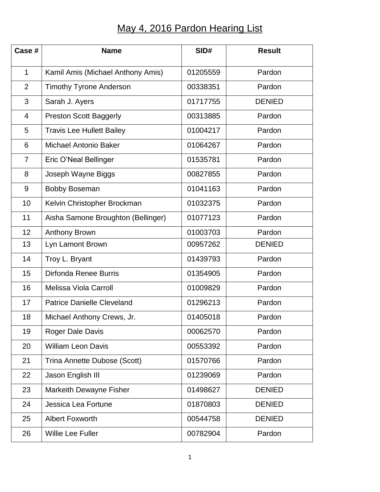## May 4, 2016 Pardon Hearing List

| Case #         | <b>Name</b>                        | SID#     | <b>Result</b> |
|----------------|------------------------------------|----------|---------------|
| $\mathbf{1}$   | Kamil Amis (Michael Anthony Amis)  | 01205559 | Pardon        |
| $\overline{2}$ | <b>Timothy Tyrone Anderson</b>     | 00338351 | Pardon        |
| 3              | Sarah J. Ayers                     | 01717755 | <b>DENIED</b> |
| 4              | <b>Preston Scott Baggerly</b>      | 00313885 | Pardon        |
| 5              | <b>Travis Lee Hullett Bailey</b>   | 01004217 | Pardon        |
| 6              | <b>Michael Antonio Baker</b>       | 01064267 | Pardon        |
| $\overline{7}$ | Eric O'Neal Bellinger              | 01535781 | Pardon        |
| 8              | Joseph Wayne Biggs                 | 00827855 | Pardon        |
| 9              | <b>Bobby Boseman</b>               | 01041163 | Pardon        |
| 10             | Kelvin Christopher Brockman        | 01032375 | Pardon        |
| 11             | Aisha Samone Broughton (Bellinger) | 01077123 | Pardon        |
| 12             | Anthony Brown                      | 01003703 | Pardon        |
| 13             | Lyn Lamont Brown                   | 00957262 | <b>DENIED</b> |
| 14             | Troy L. Bryant                     | 01439793 | Pardon        |
| 15             | Dirfonda Renee Burris              | 01354905 | Pardon        |
| 16             | <b>Melissa Viola Carroll</b>       | 01009829 | Pardon        |
| 17             | <b>Patrice Danielle Cleveland</b>  | 01296213 | Pardon        |
| 18             | Michael Anthony Crews, Jr.         | 01405018 | Pardon        |
| 19             | Roger Dale Davis                   | 00062570 | Pardon        |
| 20             | <b>William Leon Davis</b>          | 00553392 | Pardon        |
| 21             | Trina Annette Dubose (Scott)       | 01570766 | Pardon        |
| 22             | Jason English III                  | 01239069 | Pardon        |
| 23             | Markeith Dewayne Fisher            | 01498627 | <b>DENIED</b> |
| 24             | Jessica Lea Fortune                | 01870803 | <b>DENIED</b> |
| 25             | <b>Albert Foxworth</b>             | 00544758 | <b>DENIED</b> |
| 26             | <b>Willie Lee Fuller</b>           | 00782904 | Pardon        |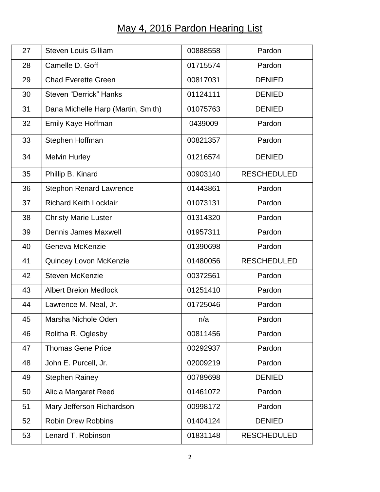## May 4, 2016 Pardon Hearing List

| 27 | <b>Steven Louis Gilliam</b>        | 00888558 | Pardon             |
|----|------------------------------------|----------|--------------------|
| 28 | Camelle D. Goff                    | 01715574 | Pardon             |
| 29 | <b>Chad Everette Green</b>         | 00817031 | <b>DENIED</b>      |
| 30 | Steven "Derrick" Hanks             | 01124111 | <b>DENIED</b>      |
| 31 | Dana Michelle Harp (Martin, Smith) | 01075763 | <b>DENIED</b>      |
| 32 | Emily Kaye Hoffman                 | 0439009  | Pardon             |
| 33 | Stephen Hoffman                    | 00821357 | Pardon             |
| 34 | <b>Melvin Hurley</b>               | 01216574 | <b>DENIED</b>      |
| 35 | Phillip B. Kinard                  | 00903140 | <b>RESCHEDULED</b> |
| 36 | <b>Stephon Renard Lawrence</b>     | 01443861 | Pardon             |
| 37 | <b>Richard Keith Locklair</b>      | 01073131 | Pardon             |
| 38 | <b>Christy Marie Luster</b>        | 01314320 | Pardon             |
| 39 | <b>Dennis James Maxwell</b>        | 01957311 | Pardon             |
| 40 | Geneva McKenzie                    | 01390698 | Pardon             |
| 41 | Quincey Lovon McKenzie             | 01480056 | <b>RESCHEDULED</b> |
| 42 | <b>Steven McKenzie</b>             | 00372561 | Pardon             |
| 43 | <b>Albert Breion Medlock</b>       | 01251410 | Pardon             |
| 44 | Lawrence M. Neal, Jr.              | 01725046 | Pardon             |
| 45 | Marsha Nichole Oden                | n/a      | Pardon             |
| 46 | Rolitha R. Oglesby                 | 00811456 | Pardon             |
| 47 | <b>Thomas Gene Price</b>           | 00292937 | Pardon             |
| 48 | John E. Purcell, Jr.               | 02009219 | Pardon             |
| 49 | <b>Stephen Rainey</b>              | 00789698 | <b>DENIED</b>      |
| 50 | Alicia Margaret Reed               | 01461072 | Pardon             |
| 51 | Mary Jefferson Richardson          | 00998172 | Pardon             |
| 52 | <b>Robin Drew Robbins</b>          | 01404124 | <b>DENIED</b>      |
| 53 | Lenard T. Robinson                 | 01831148 | <b>RESCHEDULED</b> |